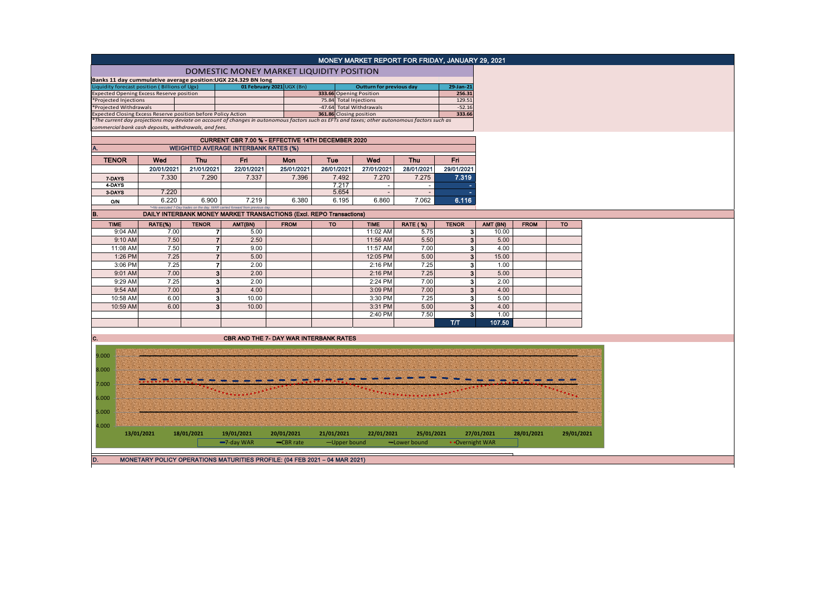|                        |                                                       |                |                                                                                                                                                                                                                |             |            | MONEY MARKET REPORT FOR FRIDAY, JANUARY 29, 2021  |                 |                  |            |             |            |
|------------------------|-------------------------------------------------------|----------------|----------------------------------------------------------------------------------------------------------------------------------------------------------------------------------------------------------------|-------------|------------|---------------------------------------------------|-----------------|------------------|------------|-------------|------------|
|                        |                                                       |                | DOMESTIC MONEY MARKET LIQUIDITY POSITION                                                                                                                                                                       |             |            |                                                   |                 |                  |            |             |            |
|                        |                                                       |                | Banks 11 day cummulative average position:UGX 224.329 BN long                                                                                                                                                  |             |            |                                                   |                 |                  |            |             |            |
|                        | Liquidity forecast position (Billions of Ugx)         |                | 01 February 2021 UGX (Bn)                                                                                                                                                                                      |             |            | <b>Outturn for previous day</b>                   |                 | 29-Jan-21        |            |             |            |
| *Projected Injections  | <b>Expected Opening Excess Reserve position</b>       |                |                                                                                                                                                                                                                |             |            | 333.66 Opening Position<br>75.84 Total Injections |                 | 256.31<br>129.51 |            |             |            |
| *Projected Withdrawals |                                                       |                |                                                                                                                                                                                                                |             |            | -47.64 Total Withdrawals                          |                 | $-52.16$         |            |             |            |
|                        |                                                       |                |                                                                                                                                                                                                                |             |            |                                                   |                 | 333.66           |            |             |            |
|                        |                                                       |                | Expected Closing Excess Reserve position before Policy Action<br>*The current day projections may deviate on account of changes in autonomous factors such as EFTs and taxes; other autonomous factors such as |             |            |                                                   |                 |                  |            |             |            |
|                        | commercial bank cash deposits, withdrawals, and fees. |                |                                                                                                                                                                                                                |             |            |                                                   |                 |                  |            |             |            |
|                        |                                                       |                | CURRENT CBR 7.00 % - EFFECTIVE 14TH DECEMBER 2020                                                                                                                                                              |             |            |                                                   |                 |                  |            |             |            |
|                        |                                                       |                | <b>WEIGHTED AVERAGE INTERBANK RATES (%)</b>                                                                                                                                                                    |             |            |                                                   |                 |                  |            |             |            |
| <b>TENOR</b>           | Wed                                                   | <b>Thu</b>     | Fri                                                                                                                                                                                                            | <b>Mon</b>  | Tue        | Wed                                               | <b>Thu</b>      | Fri.             |            |             |            |
|                        | 20/01/2021                                            | 21/01/2021     | 22/01/2021                                                                                                                                                                                                     | 25/01/2021  | 26/01/2021 | 27/01/2021                                        | 28/01/2021      | 29/01/2021       |            |             |            |
| 7-DAYS                 | 7.330                                                 | 7.290          | 7.337                                                                                                                                                                                                          | 7.396       | 7.492      | 7.270                                             | 7.275           | 7.319            |            |             |            |
| 4-DAYS                 |                                                       |                |                                                                                                                                                                                                                |             | 7.217      |                                                   | $\blacksquare$  |                  |            |             |            |
| 3-DAYS                 | 7.220                                                 |                |                                                                                                                                                                                                                |             | 5.654      | $\blacksquare$                                    | $\sim$          |                  |            |             |            |
| 0/N                    | 6.220                                                 | 6.900          | 7.219<br>*=No executed 7-Day trades on the day. WAR carried forward from previous day                                                                                                                          | 6.380       | 6.195      | 6.860                                             | 7.062           | 6.116            |            |             |            |
| B.                     |                                                       |                | DAILY INTERBANK MONEY MARKET TRANSACTIONS (Excl. REPO Transactions)                                                                                                                                            |             |            |                                                   |                 |                  |            |             |            |
| <b>TIME</b>            | RATE(%)                                               | <b>TENOR</b>   | AMT(BN)                                                                                                                                                                                                        | <b>FROM</b> | TO         | <b>TIME</b>                                       | <b>RATE (%)</b> | <b>TENOR</b>     | AMT (BN)   | <b>FROM</b> | <b>TO</b>  |
| 9:04 AM                | 7.00                                                  | 71             | 5.00                                                                                                                                                                                                           |             |            | 11:02 AM                                          | 5.75            | 3 <sup>1</sup>   | 10.00      |             |            |
| 9:10 AM                | 7.50                                                  | $\overline{7}$ | 2.50                                                                                                                                                                                                           |             |            | 11:56 AM                                          | 5.50            | 3                | 5.00       |             |            |
| 11:08 AM               | 7.50                                                  | $\overline{7}$ | 9.00                                                                                                                                                                                                           |             |            | 11:57 AM                                          | 7.00            | 3                | 4.00       |             |            |
| 1:26 PM                | 7.25                                                  | $\overline{7}$ | 5.00                                                                                                                                                                                                           |             |            | 12:05 PM                                          | 5.00            | $\mathbf{3}$     | 15.00      |             |            |
| 3:06 PM                | 7.25                                                  | $\overline{7}$ | 2.00                                                                                                                                                                                                           |             |            | 2:16 PM                                           | 7.25            | 3                | 1.00       |             |            |
| 9:01 AM                | 7.00                                                  | $\mathbf{3}$   | 2.00                                                                                                                                                                                                           |             |            | 2:16 PM                                           | 7.25            | $\mathbf{3}$     | 5.00       |             |            |
| 9:29 AM                | 7.25                                                  | 3              | 2.00                                                                                                                                                                                                           |             |            | 2:24 PM                                           | 7.00            | 3                | 2.00       |             |            |
| 9:54 AM                | 7.00                                                  | $\mathbf{3}$   | 4.00                                                                                                                                                                                                           |             |            | 3:09 PM                                           | 7.00            | 3                | 4.00       |             |            |
| 10:58 AM               | 6.00                                                  | 3              | 10.00                                                                                                                                                                                                          |             |            | 3:30 PM                                           | 7.25            | 3                | 5.00       |             |            |
| 10:59 AM               | 6.00                                                  | 3 <sup>1</sup> | 10.00                                                                                                                                                                                                          |             |            | 3:31 PM                                           | 5.00            | 3                | 4.00       |             |            |
|                        |                                                       |                |                                                                                                                                                                                                                |             |            | 2:40 PM                                           | 7.50            | 3                | 1.00       |             |            |
|                        |                                                       |                |                                                                                                                                                                                                                |             |            |                                                   |                 | <b>T/T</b>       | 107.50     |             |            |
| C.                     |                                                       |                | <b>CBR AND THE 7- DAY WAR INTERBANK RATES</b>                                                                                                                                                                  |             |            |                                                   |                 |                  |            |             |            |
|                        |                                                       |                |                                                                                                                                                                                                                |             |            |                                                   |                 |                  |            |             |            |
| 9.000                  |                                                       |                |                                                                                                                                                                                                                |             |            |                                                   |                 |                  |            |             |            |
| 8.000                  |                                                       |                |                                                                                                                                                                                                                |             |            |                                                   |                 |                  |            |             |            |
| 7.000                  |                                                       |                |                                                                                                                                                                                                                |             |            |                                                   |                 |                  |            |             |            |
|                        |                                                       |                |                                                                                                                                                                                                                |             |            |                                                   |                 |                  |            |             |            |
| 6.000                  |                                                       |                |                                                                                                                                                                                                                |             |            |                                                   |                 |                  |            |             |            |
| 5.000                  |                                                       |                |                                                                                                                                                                                                                |             |            |                                                   |                 |                  |            |             |            |
|                        |                                                       |                |                                                                                                                                                                                                                |             |            |                                                   |                 |                  |            |             |            |
| 4.000                  | 13/01/2021                                            | 18/01/2021     | 19/01/2021                                                                                                                                                                                                     | 20/01/2021  | 21/01/2021 | 22/01/2021                                        | 25/01/2021      |                  | 27/01/2021 | 28/01/2021  | 29/01/2021 |
|                        |                                                       |                | $-7$ -day WAR                                                                                                                                                                                                  | -CBR rate   |            | -Upper bound                                      | -Lower bound    | • Overnight WAR  |            |             |            |
|                        |                                                       |                |                                                                                                                                                                                                                |             |            |                                                   |                 |                  |            |             |            |
| D.                     |                                                       |                | MONETARY POLICY OPERATIONS MATURITIES PROFILE: (04 FEB 2021 - 04 MAR 2021)                                                                                                                                     |             |            |                                                   |                 |                  |            |             |            |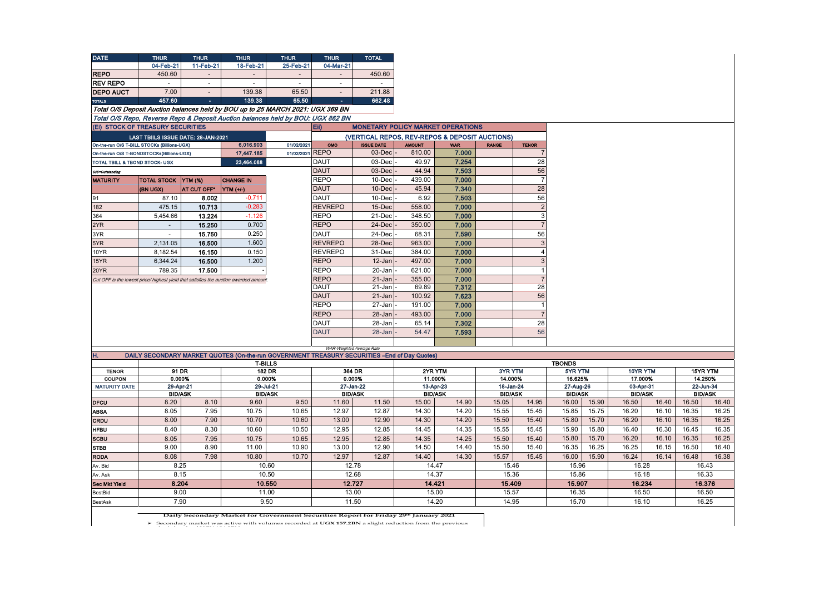| <b>DATE</b>                               | <b>THUR</b>                                 | <b>THUR</b>    | <b>THUR</b>                                                                                                    | <b>THUR</b>     | <b>THUR</b>               | <b>TOTAL</b>             |               |                                                |                |                |                |       |                |       |                |  |           |  |
|-------------------------------------------|---------------------------------------------|----------------|----------------------------------------------------------------------------------------------------------------|-----------------|---------------------------|--------------------------|---------------|------------------------------------------------|----------------|----------------|----------------|-------|----------------|-------|----------------|--|-----------|--|
|                                           | 04-Feb-21                                   | 11-Feb-21      | 18-Feb-21                                                                                                      | 25-Feb-21       | 04-Mar-21                 |                          |               |                                                |                |                |                |       |                |       |                |  |           |  |
| <b>REPO</b>                               | 450.60                                      |                |                                                                                                                |                 |                           | 450.60                   |               |                                                |                |                |                |       |                |       |                |  |           |  |
| <b>REV REPO</b>                           | $\sim$                                      | $\sim$         | $\sim$                                                                                                         | $\blacksquare$  | $\sim$                    | $\overline{\phantom{a}}$ |               |                                                |                |                |                |       |                |       |                |  |           |  |
| <b>DEPO AUCT</b>                          | 7.00                                        | $\sim$         | 139.38                                                                                                         | 65.50           | $\sim$                    | 211.88                   |               |                                                |                |                |                |       |                |       |                |  |           |  |
| <b>TOTALS</b>                             | 457.60                                      | $\sim$         | 139.38                                                                                                         | 65.50           | $\sim$                    | 662.48                   |               |                                                |                |                |                |       |                |       |                |  |           |  |
|                                           |                                             |                | Total O/S Deposit Auction balances held by BOU up to 25 MARCH 2021: UGX 369 BN                                 |                 |                           |                          |               |                                                |                |                |                |       |                |       |                |  |           |  |
|                                           |                                             |                | Total O/S Repo, Reverse Repo & Deposit Auction balances held by BOU: UGX 862 BN                                |                 |                           |                          |               |                                                |                |                |                |       |                |       |                |  |           |  |
|                                           | (Ei) STOCK OF TREASURY SECURITIES           |                |                                                                                                                |                 | EII)                      |                          |               | <b>MONETARY POLICY MARKET OPERATIONS</b>       |                |                |                |       |                |       |                |  |           |  |
|                                           | LAST TBIILS ISSUE DATE: 28-JAN-2021         |                |                                                                                                                |                 |                           |                          |               | (VERTICAL REPOS, REV-REPOS & DEPOSIT AUCTIONS) |                |                |                |       |                |       |                |  |           |  |
|                                           | On-the-run O/S T-BILL STOCKs (Billions-UGX) |                | 6,016.903                                                                                                      | 01/02/2021      | OMO                       | <b>ISSUE DATE</b>        | <b>AMOUNT</b> | <b>WAR</b>                                     | <b>RANGE</b>   | <b>TENOR</b>   |                |       |                |       |                |  |           |  |
|                                           | On-the-run O/S T-BONDSTOCKs(Billions-UGX)   |                | 17,447.185                                                                                                     | 01/02/2021 REPO |                           | 03-Dec                   | 810.00        | 7.000                                          |                | 7              |                |       |                |       |                |  |           |  |
| <b>TOTAL TBILL &amp; TBOND STOCK- UGX</b> |                                             |                | 23,464.088                                                                                                     |                 | <b>DAUT</b>               | 03-Dec                   | 49.97         | 7.254                                          |                | 28             |                |       |                |       |                |  |           |  |
| O/S=Outstanding                           |                                             |                |                                                                                                                |                 | <b>DAUT</b>               | 03-Dec                   | 44.94         | 7.503                                          |                | 56             |                |       |                |       |                |  |           |  |
| <b>MATURITY</b>                           | TOTAL STOCK YTM (%)                         |                | <b>CHANGE IN</b>                                                                                               |                 | <b>REPO</b>               | 10-Dec                   | 439.00        | 7.000                                          |                | $\overline{7}$ |                |       |                |       |                |  |           |  |
|                                           | (BN UGX)                                    | AT CUT OFF*    | YTM (+/-)                                                                                                      |                 | <b>DAUT</b>               | 10-Dec                   | 45.94         | 7.340                                          |                | 28             |                |       |                |       |                |  |           |  |
| 91                                        | 87.10                                       | 8.002          | $-0.711$                                                                                                       |                 | <b>DAUT</b>               | 10-Dec                   | 6.92          | 7.503                                          |                | 56             |                |       |                |       |                |  |           |  |
| 182                                       | 475.15                                      | 10.713         | $-0.283$                                                                                                       |                 | <b>REVREPO</b>            | 15-Dec                   | 558.00        | 7.000                                          |                | $\sqrt{2}$     |                |       |                |       |                |  |           |  |
| 364                                       | 5,454.66                                    | 13.224         | $-1.126$                                                                                                       |                 | <b>REPO</b>               | 21-Dec                   | 348.50        | 7.000                                          |                | 3              |                |       |                |       |                |  |           |  |
| 2YR                                       | $\omega$                                    | 15.250         | 0.700                                                                                                          |                 | <b>REPO</b>               | 24-Dec                   | 350.00        | 7.000                                          |                | $\overline{7}$ |                |       |                |       |                |  |           |  |
| 3YR                                       | $\blacksquare$                              | 15.750         | 0.250                                                                                                          |                 | <b>DAUT</b>               | 24-Dec                   | 68.31         | 7.590                                          |                | 56             |                |       |                |       |                |  |           |  |
| 5YR                                       | 2,131.05                                    | 16.500         | 1.600                                                                                                          |                 | <b>REVREPO</b>            | 28-Dec                   | 963.00        | 7.000                                          |                | $\mathbf{3}$   |                |       |                |       |                |  |           |  |
| 10YR                                      | 8,182.54                                    | 16.150         | 0.150                                                                                                          |                 | <b>REVREPO</b>            | 31-Dec                   | 384.00        | 7.000                                          |                | $\overline{4}$ |                |       |                |       |                |  |           |  |
| 15YR                                      | 6,344.24                                    | 16.500         | 1.200                                                                                                          |                 | <b>REPO</b>               | 12-Jan                   | 497.00        | 7.000                                          |                | $\mathbf{3}$   |                |       |                |       |                |  |           |  |
| 20YR                                      | 789.35                                      | 17.500         |                                                                                                                |                 | <b>REPO</b>               | 20-Jan                   | 621.00        | 7.000                                          |                | $\overline{1}$ |                |       |                |       |                |  |           |  |
|                                           |                                             |                | Cut OFF is the lowest price/ highest yield that satisfies the auction awarded amount.                          |                 | <b>REPO</b>               | $21 - Jan$               | 355.00        | 7.000                                          |                | $\overline{7}$ |                |       |                |       |                |  |           |  |
|                                           |                                             |                |                                                                                                                |                 | <b>DAUT</b>               | $21 - Jan$               | 69.89         | 7.312                                          |                | 28             |                |       |                |       |                |  |           |  |
|                                           |                                             |                |                                                                                                                |                 | <b>DAUT</b>               | $21 - Jan$               | 100.92        | 7.623                                          |                | 56             |                |       |                |       |                |  |           |  |
|                                           |                                             |                |                                                                                                                |                 | <b>REPO</b>               | 27-Jan                   | 191.00        | 7.000                                          |                | $\mathbf{1}$   |                |       |                |       |                |  |           |  |
|                                           |                                             |                |                                                                                                                |                 | <b>REPO</b>               | 28-Jan                   | 493.00        | 7.000                                          |                | $\overline{7}$ |                |       |                |       |                |  |           |  |
|                                           |                                             |                |                                                                                                                |                 | <b>DAUT</b>               | 28-Jan                   | 65.14         | 7.302                                          |                | 28             |                |       |                |       |                |  |           |  |
|                                           |                                             |                |                                                                                                                |                 | <b>DAUT</b>               | 28-Jan                   | 54.47         | 7.593                                          |                | 56             |                |       |                |       |                |  |           |  |
|                                           |                                             |                |                                                                                                                |                 |                           |                          |               |                                                |                |                |                |       |                |       |                |  |           |  |
|                                           |                                             |                |                                                                                                                |                 | WAR-Weighted Average Rate |                          |               |                                                |                |                |                |       |                |       |                |  |           |  |
| H.                                        |                                             |                | DAILY SECONDARY MARKET QUOTES (On-the-run GOVERNMENT TREASURY SECURITIES -End of Day Quotes)<br><b>T-BILLS</b> |                 |                           |                          |               |                                                |                |                | <b>TBONDS</b>  |       |                |       |                |  |           |  |
| <b>TENOR</b>                              | 91 DR                                       |                | 182 DR                                                                                                         |                 | 364 DR                    |                          |               | 2YR YTM                                        | 3YR YTM        |                | 5YR YTM        |       | 10YR YTM       |       | 15YR YTM       |  |           |  |
| COUPON                                    | 0.000%                                      |                | 0.000%                                                                                                         |                 | 0.000%                    |                          | 11.000%       |                                                | 14.000%        |                | 16.625%        |       | 17.000%        |       | 14.250%        |  |           |  |
| <b>MATURITY DATE</b>                      | 29-Apr-21                                   |                | 29-Jul-21                                                                                                      |                 | 27-Jan-22                 |                          |               | 13-Apr-23                                      | 18-Jan-24      |                | 27-Aug-26      |       |                |       | 03-Apr-31      |  | 22-Jun-34 |  |
|                                           |                                             | <b>BID/ASK</b> | <b>BID/ASK</b>                                                                                                 |                 | <b>BID/ASK</b>            |                          |               | <b>BID/ASK</b>                                 | <b>BID/ASK</b> |                | <b>BID/ASK</b> |       | <b>BID/ASK</b> |       | <b>BID/ASK</b> |  |           |  |
| <b>DFCU</b>                               | 8.20                                        | 8.10           | 9.60                                                                                                           | 9.50            | 11.60                     | 11.50                    | 15.00         | 14.90                                          | 15.05          | 14.95          | 16.00          | 15.90 | 16.50          | 16.40 | 16.50          |  |           |  |
| <b>ABSA</b>                               | 8.05                                        | 7.95           | 10.75                                                                                                          | 10.65           | 12.97                     | 12.87                    | 14.30         | 14.20                                          | 15.55          | 15.45          | 15.85          | 15.75 | 16.20          | 16.10 | 16.35          |  |           |  |
| CRDU                                      | 8.00                                        | 7.90           | 10.70                                                                                                          | 10.60           | 13.00                     | 12.90                    | 14.30         | 14.20                                          | 15.50          | 15.40          | 15.80          | 15.70 | 16.20          | 16.10 | 16.35          |  |           |  |
| <b>HFBU</b>                               | 8.40                                        | 8.30           | 10.60                                                                                                          | 10.50           | 12.95                     | 12.85                    | 14.45         | 14.35                                          | 15.55          | 15.45          | 15.90          | 15.80 | 16.40          | 16.30 | 16.45          |  |           |  |
| <b>SCBU</b>                               | 8.05                                        | 7.95           | 10.75                                                                                                          | 10.65           | 12.95                     | 12.85                    | 14.35         | 14.25                                          | 15.50          | 15.40          | 15.80          | 15.70 | 16.20          | 16.10 | 16.35          |  |           |  |
| <b>STBB</b>                               | 9.00                                        | 8.90           | 11.00                                                                                                          | 10.90           | 13.00                     | 12.90                    | 14.50         | 14.40                                          | 15.50          | 15.40          | 16.35          | 16.25 | 16.25          | 16.15 | 16.50          |  |           |  |
| <b>RODA</b>                               | 8.08                                        | 7.98           | 10.80                                                                                                          | 10.70           | 12.97                     | 12.87                    | 14.40         | 14.30                                          | 15.57          | 15.45          | 16.00          | 15.90 | 16.24          | 16.14 | 16.48          |  |           |  |
| Av. Bid                                   | 8.25                                        |                | 10.60                                                                                                          |                 | 12.78                     |                          |               | 14.47                                          | 15.46          |                | 15.96          |       | 16.28          |       | 16.43          |  |           |  |
| Av. Ask                                   | 8.15                                        |                | 10.50                                                                                                          |                 | 12.68                     |                          | 14.37         |                                                | 15.36          |                | 15.86          |       | 16.18          |       | 16.33          |  |           |  |
| <b>Sec Mkt Yield</b>                      | 8.204                                       |                | 10.550                                                                                                         |                 | 12.727                    |                          | 14.421        |                                                | 15,409         |                | 15.907         |       | 16.234         |       | 16.376         |  |           |  |
| BestBid                                   | 9.00<br>11.00                               |                |                                                                                                                | 13.00           |                           | 15.00                    |               | 15.57                                          |                | 16.35          |                | 16.50 |                | 16.50 |                |  |           |  |
|                                           |                                             |                |                                                                                                                |                 |                           |                          |               |                                                |                |                |                |       |                |       |                |  |           |  |

**Daily Secondary Market for Government Securities Report for Friday 29th January 2021**

 $\blacktriangleright$  Secondary market was active with volumes recorded at UGX 157.2BN a slight reduction from the previous  $\blacktriangleright$